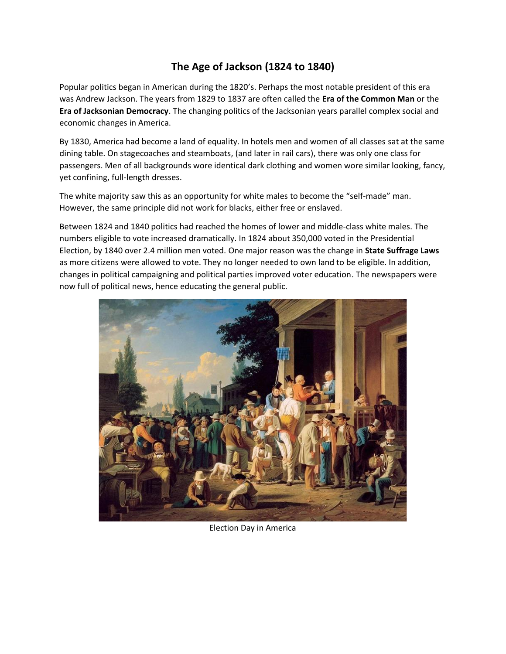# **The Age of Jackson (1824 to 1840)**

Popular politics began in American during the 1820's. Perhaps the most notable president of this era was Andrew Jackson. The years from 1829 to 1837 are often called the **Era of the Common Man** or the **Era of Jacksonian Democracy**. The changing politics of the Jacksonian years parallel complex social and economic changes in America.

By 1830, America had become a land of equality. In hotels men and women of all classes sat at the same dining table. On stagecoaches and steamboats, (and later in rail cars), there was only one class for passengers. Men of all backgrounds wore identical dark clothing and women wore similar looking, fancy, yet confining, full-length dresses.

The white majority saw this as an opportunity for white males to become the "self-made" man. However, the same principle did not work for blacks, either free or enslaved.

Between 1824 and 1840 politics had reached the homes of lower and middle-class white males. The numbers eligible to vote increased dramatically. In 1824 about 350,000 voted in the Presidential Election, by 1840 over 2.4 million men voted. One major reason was the change in **State Suffrage Laws** as more citizens were allowed to vote. They no longer needed to own land to be eligible. In addition, changes in political campaigning and political parties improved voter education. The newspapers were now full of political news, hence educating the general public.



Election Day in America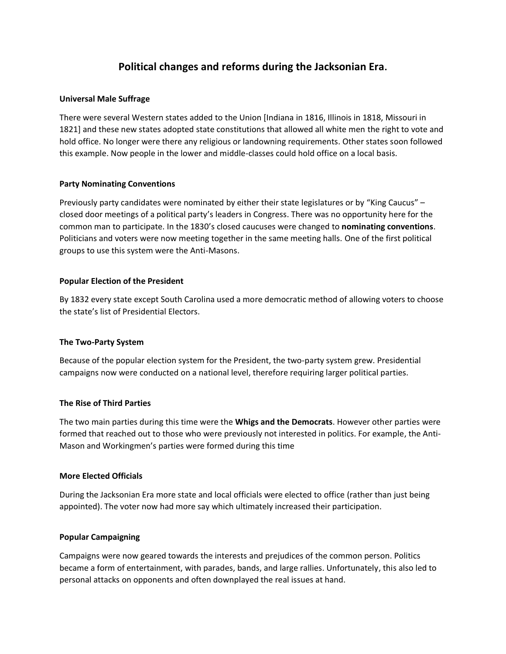# **Political changes and reforms during the Jacksonian Era.**

### **Universal Male Suffrage**

There were several Western states added to the Union [Indiana in 1816, Illinois in 1818, Missouri in 1821] and these new states adopted state constitutions that allowed all white men the right to vote and hold office. No longer were there any religious or landowning requirements. Other states soon followed this example. Now people in the lower and middle-classes could hold office on a local basis.

### **Party Nominating Conventions**

Previously party candidates were nominated by either their state legislatures or by "King Caucus" – closed door meetings of a political party's leaders in Congress. There was no opportunity here for the common man to participate. In the 1830's closed caucuses were changed to **nominating conventions**. Politicians and voters were now meeting together in the same meeting halls. One of the first political groups to use this system were the Anti-Masons.

### **Popular Election of the President**

By 1832 every state except South Carolina used a more democratic method of allowing voters to choose the state's list of Presidential Electors.

#### **The Two-Party System**

Because of the popular election system for the President, the two-party system grew. Presidential campaigns now were conducted on a national level, therefore requiring larger political parties.

#### **The Rise of Third Parties**

The two main parties during this time were the **Whigs and the Democrats**. However other parties were formed that reached out to those who were previously not interested in politics. For example, the Anti-Mason and Workingmen's parties were formed during this time

#### **More Elected Officials**

During the Jacksonian Era more state and local officials were elected to office (rather than just being appointed). The voter now had more say which ultimately increased their participation.

#### **Popular Campaigning**

Campaigns were now geared towards the interests and prejudices of the common person. Politics became a form of entertainment, with parades, bands, and large rallies. Unfortunately, this also led to personal attacks on opponents and often downplayed the real issues at hand.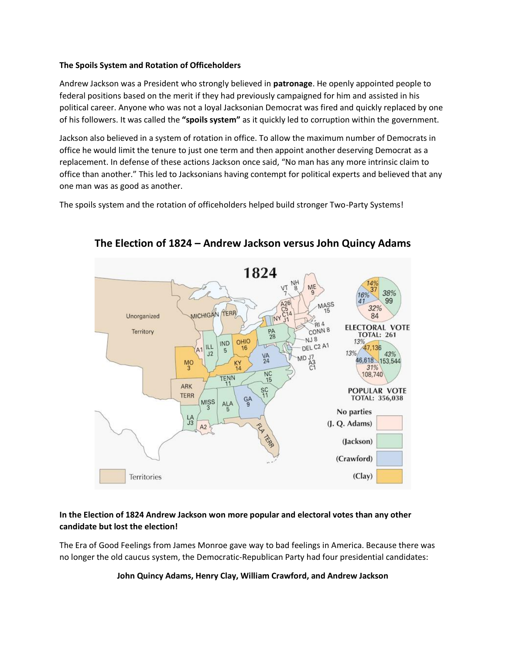### **The Spoils System and Rotation of Officeholders**

Andrew Jackson was a President who strongly believed in **patronage**. He openly appointed people to federal positions based on the merit if they had previously campaigned for him and assisted in his political career. Anyone who was not a loyal Jacksonian Democrat was fired and quickly replaced by one of his followers. It was called the **"spoils system"** as it quickly led to corruption within the government.

Jackson also believed in a system of rotation in office. To allow the maximum number of Democrats in office he would limit the tenure to just one term and then appoint another deserving Democrat as a replacement. In defense of these actions Jackson once said, "No man has any more intrinsic claim to office than another." This led to Jacksonians having contempt for political experts and believed that any one man was as good as another.

The spoils system and the rotation of officeholders helped build stronger Two-Party Systems!



# **The Election of 1824 – Andrew Jackson versus John Quincy Adams**

### **In the Election of 1824 Andrew Jackson won more popular and electoral votes than any other candidate but lost the election!**

The Era of Good Feelings from James Monroe gave way to bad feelings in America. Because there was no longer the old caucus system, the Democratic-Republican Party had four presidential candidates:

#### **John Quincy Adams, Henry Clay, William Crawford, and Andrew Jackson**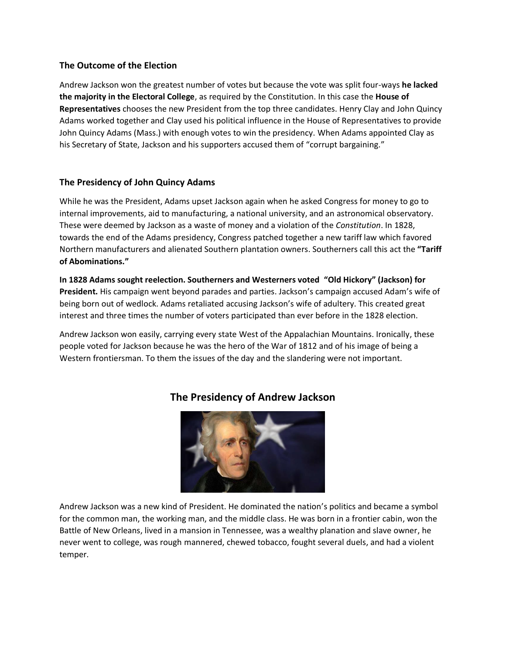## **The Outcome of the Election**

Andrew Jackson won the greatest number of votes but because the vote was split four-ways **he lacked the majority in the Electoral College**, as required by the Constitution. In this case the **House of Representatives** chooses the new President from the top three candidates. Henry Clay and John Quincy Adams worked together and Clay used his political influence in the House of Representatives to provide John Quincy Adams (Mass.) with enough votes to win the presidency. When Adams appointed Clay as his Secretary of State, Jackson and his supporters accused them of "corrupt bargaining."

# **The Presidency of John Quincy Adams**

While he was the President, Adams upset Jackson again when he asked Congress for money to go to internal improvements, aid to manufacturing, a national university, and an astronomical observatory. These were deemed by Jackson as a waste of money and a violation of the *Constitution*. In 1828, towards the end of the Adams presidency, Congress patched together a new tariff law which favored Northern manufacturers and alienated Southern plantation owners. Southerners call this act the **"Tariff of Abominations."**

**In 1828 Adams sought reelection. Southerners and Westerners voted "Old Hickory" (Jackson) for President.** His campaign went beyond parades and parties. Jackson's campaign accused Adam's wife of being born out of wedlock. Adams retaliated accusing Jackson's wife of adultery. This created great interest and three times the number of voters participated than ever before in the 1828 election.

Andrew Jackson won easily, carrying every state West of the Appalachian Mountains. Ironically, these people voted for Jackson because he was the hero of the War of 1812 and of his image of being a Western frontiersman. To them the issues of the day and the slandering were not important.



# **The Presidency of Andrew Jackson**

Andrew Jackson was a new kind of President. He dominated the nation's politics and became a symbol for the common man, the working man, and the middle class. He was born in a frontier cabin, won the Battle of New Orleans, lived in a mansion in Tennessee, was a wealthy planation and slave owner, he never went to college, was rough mannered, chewed tobacco, fought several duels, and had a violent temper.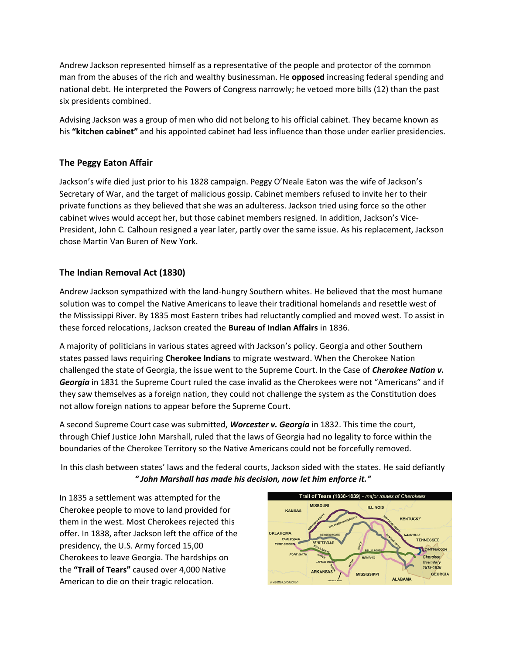Andrew Jackson represented himself as a representative of the people and protector of the common man from the abuses of the rich and wealthy businessman. He **opposed** increasing federal spending and national debt. He interpreted the Powers of Congress narrowly; he vetoed more bills (12) than the past six presidents combined.

Advising Jackson was a group of men who did not belong to his official cabinet. They became known as his **"kitchen cabinet"** and his appointed cabinet had less influence than those under earlier presidencies.

# **The Peggy Eaton Affair**

Jackson's wife died just prior to his 1828 campaign. Peggy O'Neale Eaton was the wife of Jackson's Secretary of War, and the target of malicious gossip. Cabinet members refused to invite her to their private functions as they believed that she was an adulteress. Jackson tried using force so the other cabinet wives would accept her, but those cabinet members resigned. In addition, Jackson's Vice-President, John C. Calhoun resigned a year later, partly over the same issue. As his replacement, Jackson chose Martin Van Buren of New York.

# **The Indian Removal Act (1830)**

Andrew Jackson sympathized with the land-hungry Southern whites. He believed that the most humane solution was to compel the Native Americans to leave their traditional homelands and resettle west of the Mississippi River. By 1835 most Eastern tribes had reluctantly complied and moved west. To assist in these forced relocations, Jackson created the **Bureau of Indian Affairs** in 1836.

A majority of politicians in various states agreed with Jackson's policy. Georgia and other Southern states passed laws requiring **Cherokee Indians** to migrate westward. When the Cherokee Nation challenged the state of Georgia, the issue went to the Supreme Court. In the Case of *Cherokee Nation v. Georgia* in 1831 the Supreme Court ruled the case invalid as the Cherokees were not "Americans" and if they saw themselves as a foreign nation, they could not challenge the system as the Constitution does not allow foreign nations to appear before the Supreme Court.

A second Supreme Court case was submitted, *Worcester v. Georgia* in 1832. This time the court, through Chief Justice John Marshall, ruled that the laws of Georgia had no legality to force within the boundaries of the Cherokee Territory so the Native Americans could not be forcefully removed.

In this clash between states' laws and the federal courts, Jackson sided with the states. He said defiantly *" John Marshall has made his decision, now let him enforce it."*

In 1835 a settlement was attempted for the Cherokee people to move to land provided for them in the west. Most Cherokees rejected this offer. In 1838, after Jackson left the office of the presidency, the U.S. Army forced 15,00 Cherokees to leave Georgia. The hardships on the **"Trail of Tears"** caused over 4,000 Native American to die on their tragic relocation.

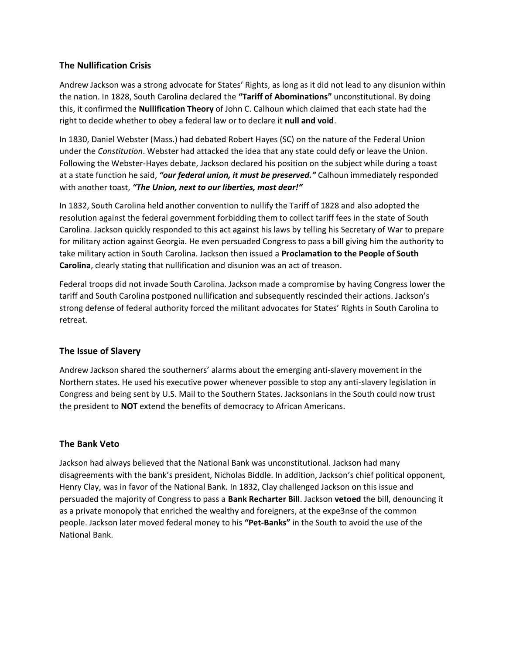## **The Nullification Crisis**

Andrew Jackson was a strong advocate for States' Rights, as long as it did not lead to any disunion within the nation. In 1828, South Carolina declared the **"Tariff of Abominations"** unconstitutional. By doing this, it confirmed the **Nullification Theory** of John C. Calhoun which claimed that each state had the right to decide whether to obey a federal law or to declare it **null and void**.

In 1830, Daniel Webster (Mass.) had debated Robert Hayes (SC) on the nature of the Federal Union under the *Constitution*. Webster had attacked the idea that any state could defy or leave the Union. Following the Webster-Hayes debate, Jackson declared his position on the subject while during a toast at a state function he said, *"our federal union, it must be preserved."* Calhoun immediately responded with another toast, *"The Union, next to our liberties, most dear!"*

In 1832, South Carolina held another convention to nullify the Tariff of 1828 and also adopted the resolution against the federal government forbidding them to collect tariff fees in the state of South Carolina. Jackson quickly responded to this act against his laws by telling his Secretary of War to prepare for military action against Georgia. He even persuaded Congress to pass a bill giving him the authority to take military action in South Carolina. Jackson then issued a **Proclamation to the People of South Carolina**, clearly stating that nullification and disunion was an act of treason.

Federal troops did not invade South Carolina. Jackson made a compromise by having Congress lower the tariff and South Carolina postponed nullification and subsequently rescinded their actions. Jackson's strong defense of federal authority forced the militant advocates for States' Rights in South Carolina to retreat.

### **The Issue of Slavery**

Andrew Jackson shared the southerners' alarms about the emerging anti-slavery movement in the Northern states. He used his executive power whenever possible to stop any anti-slavery legislation in Congress and being sent by U.S. Mail to the Southern States. Jacksonians in the South could now trust the president to **NOT** extend the benefits of democracy to African Americans.

### **The Bank Veto**

Jackson had always believed that the National Bank was unconstitutional. Jackson had many disagreements with the bank's president, Nicholas Biddle. In addition, Jackson's chief political opponent, Henry Clay, was in favor of the National Bank. In 1832, Clay challenged Jackson on this issue and persuaded the majority of Congress to pass a **Bank Recharter Bill**. Jackson **vetoed** the bill, denouncing it as a private monopoly that enriched the wealthy and foreigners, at the expe3nse of the common people. Jackson later moved federal money to his **"Pet-Banks"** in the South to avoid the use of the National Bank.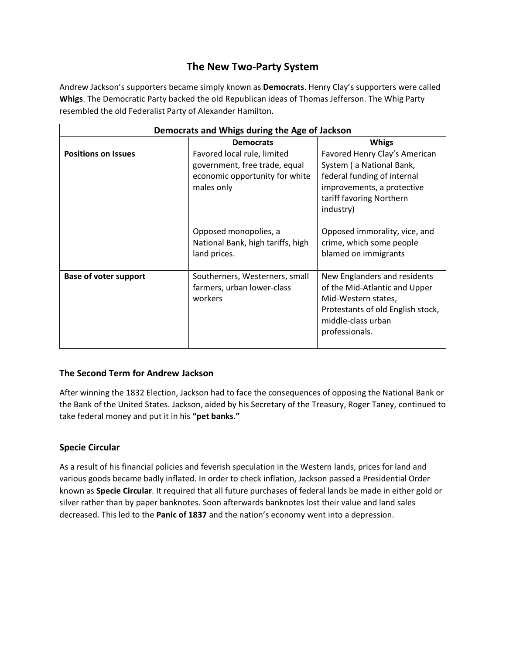# **The New Two-Party System**

Andrew Jackson's supporters became simply known as **Democrats**. Henry Clay's supporters were called **Whigs**. The Democratic Party backed the old Republican ideas of Thomas Jefferson. The Whig Party resembled the old Federalist Party of Alexander Hamilton.

| Democrats and Whigs during the Age of Jackson |                                                                                                              |                                                                                                                                                                   |
|-----------------------------------------------|--------------------------------------------------------------------------------------------------------------|-------------------------------------------------------------------------------------------------------------------------------------------------------------------|
|                                               | <b>Democrats</b>                                                                                             | <b>Whigs</b>                                                                                                                                                      |
| <b>Positions on Issues</b>                    | Favored local rule, limited<br>government, free trade, equal<br>economic opportunity for white<br>males only | Favored Henry Clay's American<br>System (a National Bank,<br>federal funding of internal<br>improvements, a protective<br>tariff favoring Northern<br>industry)   |
|                                               | Opposed monopolies, a<br>National Bank, high tariffs, high<br>land prices.                                   | Opposed immorality, vice, and<br>crime, which some people<br>blamed on immigrants                                                                                 |
| Base of voter support                         | Southerners, Westerners, small<br>farmers, urban lower-class<br>workers                                      | New Englanders and residents<br>of the Mid-Atlantic and Upper<br>Mid-Western states,<br>Protestants of old English stock,<br>middle-class urban<br>professionals. |

### **The Second Term for Andrew Jackson**

After winning the 1832 Election, Jackson had to face the consequences of opposing the National Bank or the Bank of the United States. Jackson, aided by his Secretary of the Treasury, Roger Taney, continued to take federal money and put it in his **"pet banks."**

# **Specie Circular**

As a result of his financial policies and feverish speculation in the Western lands, prices for land and various goods became badly inflated. In order to check inflation, Jackson passed a Presidential Order known as **Specie Circular**. It required that all future purchases of federal lands be made in either gold or silver rather than by paper banknotes. Soon afterwards banknotes lost their value and land sales decreased. This led to the **Panic of 1837** and the nation's economy went into a depression.